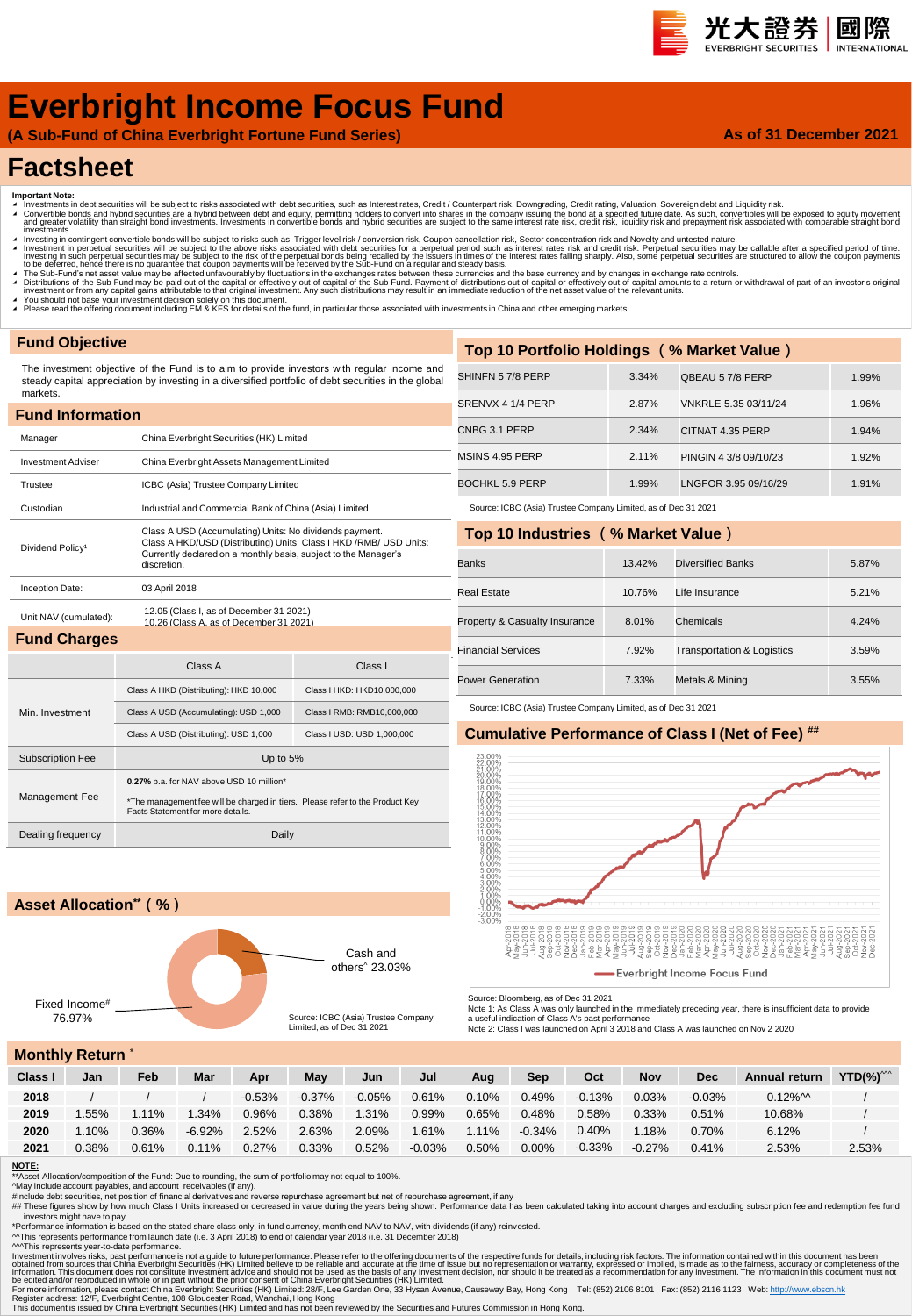#### 光大證券 國際 **INTERNATION**

**As of 31 December 2021**

# **Everbright Income Focus Fund**

**(A Sub-Fund of China Everbright Fortune Fund Series)**

# **Factsheet**

- 
- Important Note:<br>▲ Investments in debt securities will be subject to risks associated with debt securities, such as Interest rates, Credit / Counterpart risk, Downgrading, Credit rating, Valuation, Sovereign debt and Liqui nvestinents.<br>Investing in contingent convertible bonds will be subject to risks such as Trigger level risk / conversion risk, Coupon cancellation risk, Sector concentration risk and Novelty and untested nature.
- Investment in perpetual securities will be subject to the above risks associated with debt securities for a perpetual period such as interest rates risk and credit risk. Perpetual securities may be callable after a specifi
- ▲ The Sub-Fund's net asset value may be affected unfavourably by fluctuations in the exchanges rates between these currencies and the base currency and by changes in exchange rate controls.<br>▲ Distributions of the Sub-Fund
- 
- ∡ You should not base your investment decision solely on this document.<br>◢ Please read the offering document including EM & KFS for details of the fund, in particular those associated with investments in China and other em

### **Fund Objective**

The investment objective of the Fund is to aim to provide investors with regular income and steady capital appreciation by investing in a diversified portfolio of debt securities in the global

| <b>Fund Information</b>                             |                                                                                                                                                                                                                |                            |  |  |  |  |  |  |  |
|-----------------------------------------------------|----------------------------------------------------------------------------------------------------------------------------------------------------------------------------------------------------------------|----------------------------|--|--|--|--|--|--|--|
| China Everbright Securities (HK) Limited<br>Manager |                                                                                                                                                                                                                |                            |  |  |  |  |  |  |  |
| <b>Investment Adviser</b>                           | China Everbright Assets Management Limited                                                                                                                                                                     |                            |  |  |  |  |  |  |  |
| Trustee                                             | ICBC (Asia) Trustee Company Limited                                                                                                                                                                            |                            |  |  |  |  |  |  |  |
| Custodian                                           | Industrial and Commercial Bank of China (Asia) Limited                                                                                                                                                         |                            |  |  |  |  |  |  |  |
| Dividend Policy <sup>1</sup>                        | Class A USD (Accumulating) Units: No dividends payment.<br>Class A HKD/USD (Distributing) Units, Class I HKD /RMB/ USD Units:<br>Currently declared on a monthly basis, subject to the Manager's<br>discretion |                            |  |  |  |  |  |  |  |
| Inception Date:                                     | 03 April 2018                                                                                                                                                                                                  |                            |  |  |  |  |  |  |  |
| Unit NAV (cumulated):                               | 12.05 (Class I, as of December 31 2021)<br>10.26 (Class A. as of December 31 2021).                                                                                                                            |                            |  |  |  |  |  |  |  |
| <b>Fund Charges</b>                                 |                                                                                                                                                                                                                |                            |  |  |  |  |  |  |  |
|                                                     | Class A                                                                                                                                                                                                        | Class I                    |  |  |  |  |  |  |  |
|                                                     | Class A HKD (Distributing): HKD 10,000                                                                                                                                                                         | Class I HKD: HKD10,000,000 |  |  |  |  |  |  |  |
| Min. Investment                                     | Class A USD (Accumulating): USD 1,000                                                                                                                                                                          | Class I RMB: RMB10,000,000 |  |  |  |  |  |  |  |
|                                                     | Class A USD (Distributing): USD 1,000                                                                                                                                                                          | Class I USD: USD 1,000,000 |  |  |  |  |  |  |  |
| <b>Subscription Fee</b>                             | Up to 5%                                                                                                                                                                                                       |                            |  |  |  |  |  |  |  |
| Management Fee                                      | 0.27% p.a. for NAV above USD 10 million*<br>*The management fee will be charged in tiers. Please refer to the Product Key<br>Facts Statement for more details.                                                 |                            |  |  |  |  |  |  |  |
| Dealing frequency                                   | Daily                                                                                                                                                                                                          |                            |  |  |  |  |  |  |  |

## CNBG 3.1 PERP 2.34% CITNAT 4.35 PERP 1.94% MSINS 4.95 PERP 2.11% PINGIN 4 3/8 09/10/23 1.92% BOCHKL 5.9 PERP 1.99% LNGFOR 3.95 09/16/29 1.91% **Top 10 Industries (% Market Value)** Source: ICBC (Asia) Trustee Company Limited, as of Dec 31 2021

SHINFN 5 7/8 PERP 3.34% QBEAU 5 7/8 PERP 1.99% SRENVX 4 1/4 PERP 2.87% VNKRLE 5.35 03/11/24 1.96%

**Top 10 Portfolio Holdings (% Market Value)**

| <b>Banks</b>                  | 13.42% | Diversified Banks                     | 5.87% |
|-------------------------------|--------|---------------------------------------|-------|
| Real Estate                   | 10.76% | Life Insurance                        | 5.21% |
| Property & Casualty Insurance | 8.01%  | Chemicals                             | 4.24% |
| <b>Financial Services</b>     | 7.92%  | <b>Transportation &amp; Logistics</b> | 3.59% |
| <b>Power Generation</b>       | 7.33%  | Metals & Mining                       | 3.55% |

Source: ICBC (Asia) Trustee Company Limited, as of Dec 31 2021

## **Cumulative Performance of Class I (Net of Fee) ##**



Source: Bloomberg, as of Dec 31 2021

Note 1: As Class A was only launched in the immediately preceding year, there is insufficient data to provide<br>a useful indication of Class A's past performance<br>Note 2: Class I was launched on April 3 2018 and Class A was l

### **Monthly Return** \*

Fixed Income<sup>#</sup><br>76.97%

**Asset Allocation\*\*(%)**

| 1101    |          |        |           |          |           |           |          |          |           |          |            |            |                       |                          |
|---------|----------|--------|-----------|----------|-----------|-----------|----------|----------|-----------|----------|------------|------------|-----------------------|--------------------------|
| Class I | Jan      | Feb    | Mar       | Apr      | May       | Jun       | Jul      | Aug      | Sep       | Oct      | <b>Nov</b> | <b>Dec</b> | Annual return         | $YTD(\%)^{\wedge\wedge}$ |
| 2018    |          |        |           | $-0.53%$ | $-0.37\%$ | $-0.05\%$ | 0.61%    | 0.10%    | $0.49\%$  | $-0.13%$ | $0.03\%$   | $-0.03%$   | $0.12\%$ <sup>M</sup> |                          |
| 2019    | .55%     | $11\%$ | .34%      | 0.96%    | 0.38%     | 1.31%     | $0.99\%$ | 0.65%    | 0.48%     | 0.58%    | 0.33%      | 0.51%      | 10.68%                |                          |
| 2020    | $1.10\%$ | 0.36%  | $-6.92\%$ | 2.52%    | 2.63%     | 2.09%     | 1.61%    | $1.11\%$ | $-0.34\%$ | $0.40\%$ | 1.18%      | 0.70%      | 6.12%                 |                          |
| 2021    | 0.38%    | 0.61%  | $0.11\%$  | 0.27%    | 0.33%     | 0.52%     | $-0.03%$ | 0.50%    | $0.00\%$  | $-0.33%$ | $-0.27\%$  | 0.41%      | 2.53%                 | 2.53%                    |

#### **NOTE:**

 $\frac{1}{2}$  Asset Allocation/composition of the Fund: Due to rounding, the sum of portfolio may not equal to 100%.

^May include account payables, and account receivables (if any).<br>#Include debt securities, net position of financial derivatives and reverse repurchase agreement but net of repurchase agreement, if any<br>## These figures sho

investors might have to pay.

\*Performance information is based on the stated share class only, in fund currency, month end NAV to NAV, with dividends (if any) reinvested.<br>^^This represents performance from launch date (i.e. 3 April 2018) to end of cal

^^^This represents year-to-date performance.

Investment involves risks, past performance is not a guide to future performance. Please refer to the offering documents of the expective substanced from sources that China Everbright Securities (HK) Limited believe to be

Cash and others^ 23.03%

Source: ICBC (Asia) Trustee Company Limited, as of Dec 31 2021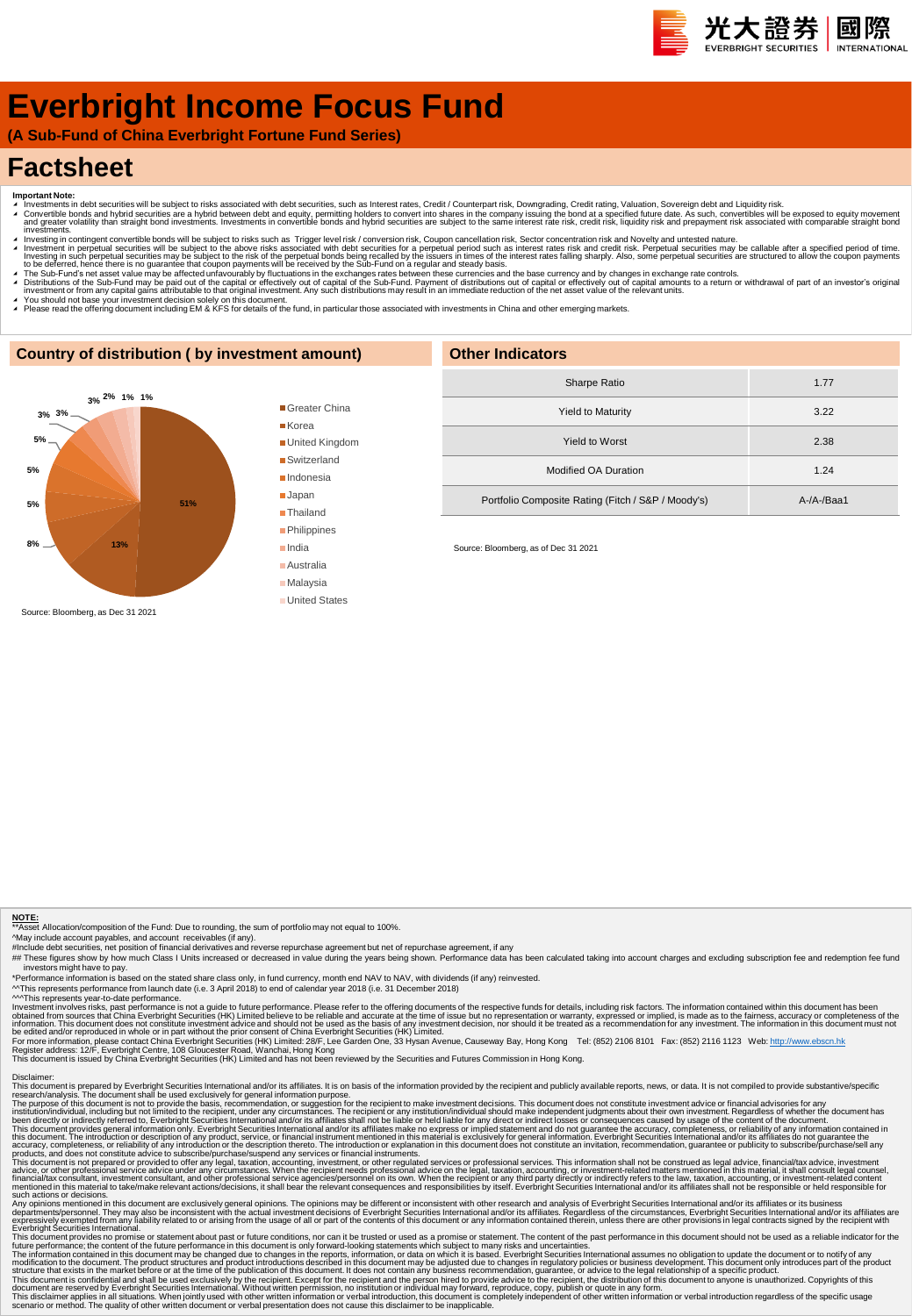# **Everbright Income Focus Fund**

**(A Sub-Fund of China Everbright Fortune Fund Series)**

## **Factsheet**

- 
- Important Note:<br>▲ Investments in debt securities will be subject to risks associated with debt securities, such as Interest rates, Credit / Counterpart risk, Downgrading, Credit rating, Valuation, Sovereign debt and Equid
- πνestinems.<br>Πανεsting in contingent convertible bonds will be subject to risks such as Trigger level risk / conversion risk, Coupon cancellation risk, Sector concentration risk and Novelty and untested nature. Investment in perpetual securities will be subject to the above risks associated with debt securities for a perpetual period such as interest rates risk and credit risk. Perpetual securities may be callable after a specifi
- A The Sub-Fund's net asset value may be affected unfavourably by fluctuations in the exchanges rates between these currencies and the base currency and by changes in exchange rate controls.<br>A Distributions of the Sub-Fund
- 
- ∡ You should not base your investment decision solely on this document.<br>▲ Please read the offering document including EM & KFS for details of the fund, in particular those associated with investments in China and other em

### **Country of distribution ( by investment amount)**



#### Greater China ■ Korea

United Kingdom

■Switzerland

■Indonesia

Japan

■Thailand **Philippines** 

India

- Australia
- Malaysia
- United States

| <b>Other Indicators</b>                            |            |  |  |  |  |  |  |
|----------------------------------------------------|------------|--|--|--|--|--|--|
| Sharpe Ratio                                       | 1.77       |  |  |  |  |  |  |
| <b>Yield to Maturity</b>                           | 3.22       |  |  |  |  |  |  |
| Yield to Worst                                     | 2.38       |  |  |  |  |  |  |
| Modified OA Duration                               | 1.24       |  |  |  |  |  |  |
| Portfolio Composite Rating (Fitch / S&P / Moody's) | $A-A-Baa1$ |  |  |  |  |  |  |

Source: Bloomberg, as of Dec 31 2021

#### **NOTE:**

\*\*Asset Allocation/composition of the Fund: Due to rounding, the sum of portfolio may not equal to 100%.

^May include account payables, and account receivables (if any).<br>#Include debt securities, net position of inancial derivatives and reverse repurchase agreement but net of repurchase agreement, if any<br>## These figures show investors might have to pay.

\*Performance information is based on the stated share class only, in fund currency, month end NAV to NAV, with dividends (if any) reinvested.<br>^^This represents performance from launch date (i.e. 3 April 2018) to end of cal

<sup>AM</sup>This represents year-to-date performance is not a guide to future performance. Please refer to the offering documents of the respective funds for details, including risk factors. The information contained within this d

Disclaimer:<br>This document is prepared by Everbright Securities International and/or its affiliates. It is on basis of the information provided by the recipient and publicly available reports, news, or data. It is not compi

The purpose of this document is not to provide the basis, recommendation, or suggestion for the recipient to make investment decisions. This document divident his metally advisories for any incrument and the metally includ

Any opinion mentioned in this document are exclusively general opinions. The opinions may be different or inconsistent with the research and and/or its affiliates. or its busines mentioned in this document are served by it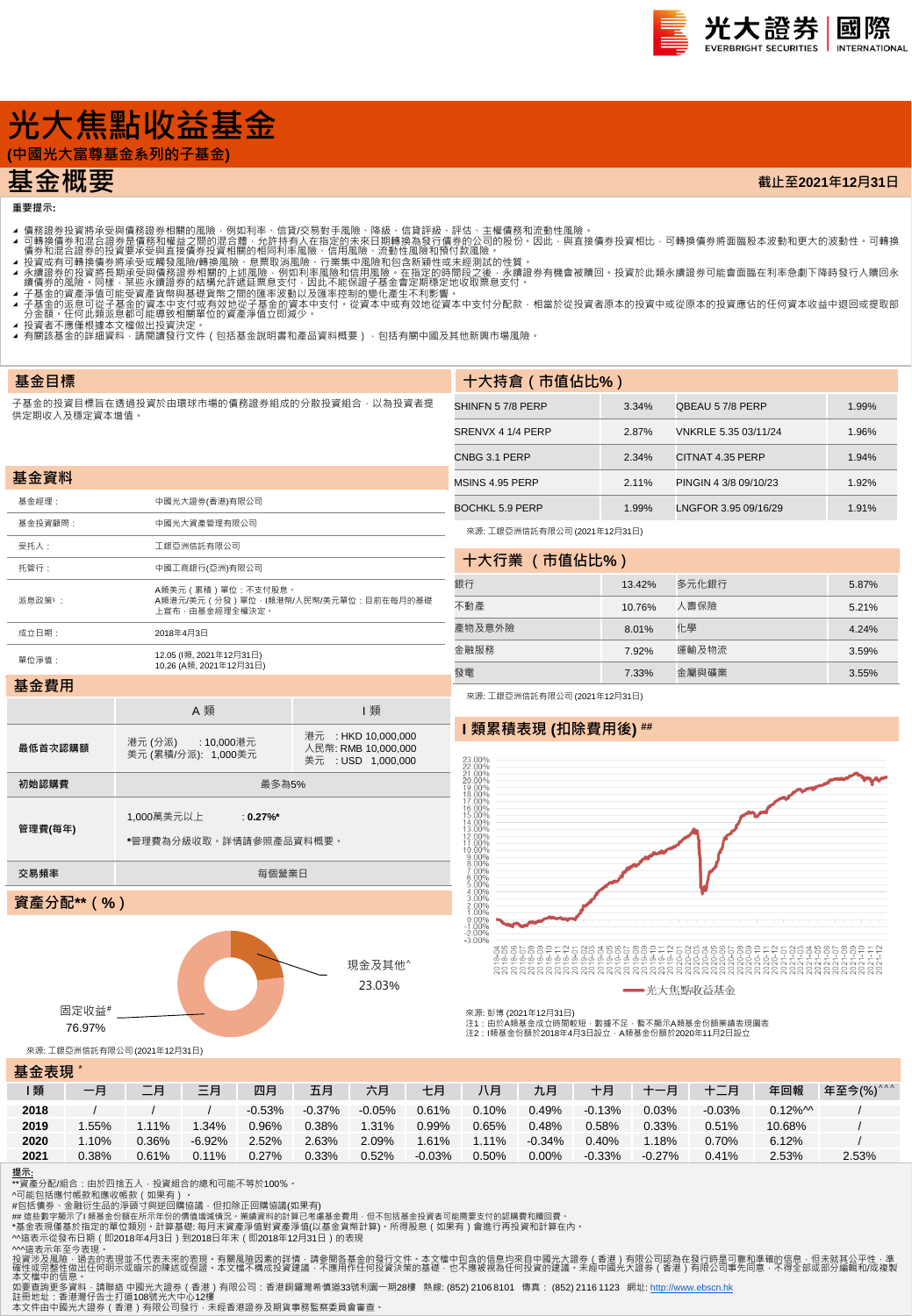

**截止至2021年12月31日**

# **光大焦點收益基金**

 $\overline{\text{H+K+K+K+K+K}}$ 

## **基金概要**

**重要提示:**

**基金目標**

- 
- 4 可轉證券投資將承受與情務證券相關的風險,例如利率、信貸次易對手風險、降線、信貸評級、評估、主權債務和流動性風險。<br>4 可轉換債務業投資將承受與情務額證外相關的風險,例如利率、信貸次易對手風險、降風、有限部級行情勞的公司的股份,因此,與直接債券投資相比,可轉換債券將面臨股本波動和更大的波動性 可轉換<br>4 債券和混合證券的投資要承受與直接債券投資相關的相同利率風險、行業集中風險和頂待付款風險 •<br>1 積分和混合證券的投資要承受要項資
- 
- 
- 
- 
- **-** 13員有不應電低隊本大備成出及員公と:<br>◢ 有關該基金的詳細資料 · 請閱讀發行文件(包括基金說明書和產品資料概要) · 包括有關中國及其他新興市場風險 ·

子基金的投資目標旨在透過投資於由環球市場的債務證券組成的分散投資組合,以為投資者提 供定期收入及穩定資本增值。

| 基金資料    |                                                                                     |
|---------|-------------------------------------------------------------------------------------|
| 基金經理:   | 中國光大證券(香港)有限公司                                                                      |
| 基金投資顧問: | 中國光大資產管理有限公司                                                                        |
| 受托人:    | 工銀亞洲信託有限公司                                                                          |
| 托管行:    | 中國工商銀行(亞洲)有限公司                                                                      |
| 派息政策1:  | A類美元 ( 累積 ) 單位 : 不支付股息。<br>A類港元/美元(分發)單位 · I類港幣/人民幣/美元單位:目前在每月的基礎<br>上宣布・由基金經理全權決定・ |
| 成立日期:   | 2018年4月3日                                                                           |
| 單位淨值:   | 12.05 (I類, 2021年12月31日)<br>10.26 (A類, 2021年12月31日)                                  |
| 基金費用    |                                                                                     |

A 類 コンコンコンコンコンコンコン類

港元 : HKD 10,000,000 人民幣: RMB 10,000,000 美元 : USD 1,000,000

> 現金及其他^ 23.03%

| 十大持眉(巾怚佔比%)       |       |                       |       |
|-------------------|-------|-----------------------|-------|
| SHINFN 57/8 PERP  | 3.34% | QBEAU 57/8 PERP       | 1.99% |
| SRENVX 4 1/4 PERP | 2.87% | VNKRLE 5.35 03/11/24  | 1.96% |
| CNBG 3.1 PERP     | 2.34% | CITNAT 4.35 PERP      | 1.94% |
| MSINS 4.95 PERP   | 2.11% | PINGIN 4 3/8 09/10/23 | 1.92% |
| BOCHKL 5.9 PERP   | 1.99% | LNGFOR 3.95 09/16/29  | 1.91% |
|                   |       |                       |       |

來源: 工銀亞洲信託有限公司 (2021年12月31日)

**十大持倉(市值佔比%)**

| 十大行業 (市值佔比%) |        |       |       |  |  |  |  |  |  |  |
|--------------|--------|-------|-------|--|--|--|--|--|--|--|
| 銀行           | 13.42% | 多元化銀行 | 5.87% |  |  |  |  |  |  |  |
| 不動產          | 10.76% | 人壽保險  | 5.21% |  |  |  |  |  |  |  |
| 產物及意外險       | 8.01%  | 化學    | 4.24% |  |  |  |  |  |  |  |
| 金融服務         | 7.92%  | 運輸及物流 | 3.59% |  |  |  |  |  |  |  |
| 雷發           | 7.33%  | 金屬與礦業 | 3.55% |  |  |  |  |  |  |  |

來源: 工銀亞洲信託有限公司 (2021年12月31日)

### **I 類累積表現 (扣除費用後) ##**



來源: 彭博 (2021年12月31日) -<br>注1:由於A類基金成立時間較短・數據不足・暫不顯示A類基金份額業績表現圖表 注2:I類基金份額於2018年4月3日設立,A類基金份額於2020年11月2日設立

來源: 工銀亞洲信託有限公司 (2021年12月31日)

固定收益# 76.97%

**最低首次認購額** 港元 (分派) : 10,000港元<br>美元 (累積/分派): 1,000美元

初始認購費 **Management Controller Management Controller Management Controller Management Controller Management Controller Management Controller Management Controller Management Controller Management Controller Management Contr** 

**交易頻率 インフィッシュ こうしょう あいしゃ あいしゃ あいきょう あいきょう** 毎個營業日

1,000萬美元以上 : **0.27%\***

**\***管理費為分級收取。詳情請參照產品資料概要。

#### **基金表現** \*

**管理費(每年)**

**資產分配\*\*(%)**

| _________ |       |       |           |          |           |          |          |          |          |           |          |          |                       |           |
|-----------|-------|-------|-----------|----------|-----------|----------|----------|----------|----------|-----------|----------|----------|-----------------------|-----------|
| 類         | 一月    | 二月    | 三月        | 四月       | 五月        | 六月       | 七月       | 八月       | 九月       | 十月        | 十一月      | $+ =$    | 年回報                   | 年至今(%)^^^ |
| 2018      |       |       |           | $-0.53%$ | $-0.37\%$ | $-0.05%$ | 0.61%    | 0.10%    | 0.49%    | $-0.13%$  | 0.03%    | $-0.03%$ | $0.12\%$ <sup>M</sup> |           |
| 2019      | .55%  | 1.11% | .34%      | 0.96%    | 0.38%     | 1.31%    | 0.99%    | 0.65%    | 0.48%    | 0.58%     | 0.33%    | 0.51%    | 10.68%                |           |
| 2020      | 1.10% | 0.36% | $-6.92\%$ | 2.52%    | 2.63%     | 2.09%    | 1.61%    | $1.11\%$ | $-0.34%$ | 0.40%     | .18%     | 0.70%    | 6.12%                 |           |
| 2021      | 0.38% | 0.61% | 0.11%     | 0.27%    | 0.33%     | 0.52%    | $-0.03%$ | 0.50%    | 0.00%    | $-0.33\%$ | $-0.27%$ | 0.41%    | 2.53%                 | 2.53%     |

#### **提示**:

\*\*資產分配/組合:由於四捨五入 · 投資組合的總和可能不等於100% ·<br>^可能包括應付帳款和應收帳款(如果有) ·

#包括債券、金融衍生品的淨頭寸與逆回購協議,但扣除正回購協議(如果有)<br>## 這些數字顯示了I 類基金份額在所示年份的價值增減情況。業績資料的計算已考慮基金費用,但不包括基金投資者可能需要支付的認購費和贖回費。

\*基金表現僅基於指定的單位類別・計算基礎: 每月末資產淨值對資產淨值(以基金貨幣計算)・所得股息(如果有)會進行再投資和計算在內・<br>^^遠表示從發布日期(即2018年4月3日)到2018日年末(即2018年12月31日)的表現<br>^^遠表示不至今表現。<br>投資涉及風險・過去的表現並不代表未來的表現・有關風險因素的詳情:請參閱各基金的發行文件・本文檔中包含的信息均來自中國光大證券(香港)有限公司認為在發行時是可靠和準確的信息・但未就其公平性・

如要查詢更多資料 · 請聯絡 中國光大證券(香港)有限公司:香港銅鑼灣希慎道33號利園一期28樓 熱線: (852) 2106 8101 傳真: (852) 2116 1123 網址: <u>http://www.ebscn.hk</u><br>註冊地址:香港当行告士打道108號光大中心12樓<br>本文件由中國光大證券(香港)有限公司發行,未經香港證券及期貨事務監察委員會審查。